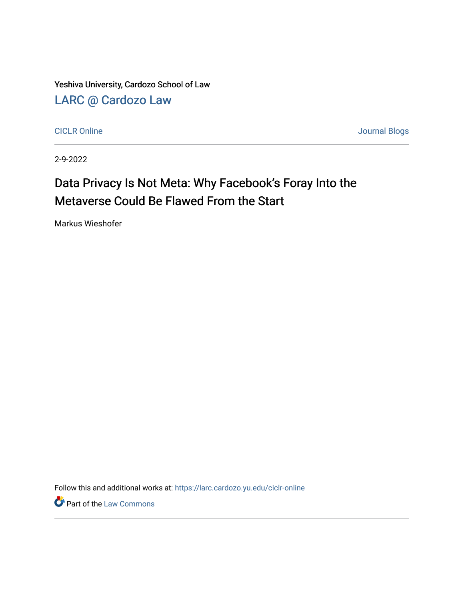Yeshiva University, Cardozo School of Law [LARC @ Cardozo Law](https://larc.cardozo.yu.edu/)

[CICLR Online](https://larc.cardozo.yu.edu/ciclr-online) [Journal Blogs](https://larc.cardozo.yu.edu/journal-blogs) 

2-9-2022

## Data Privacy Is Not Meta: Why Facebook's Foray Into the Metaverse Could Be Flawed From the Start

Markus Wieshofer

Follow this and additional works at: [https://larc.cardozo.yu.edu/ciclr-online](https://larc.cardozo.yu.edu/ciclr-online?utm_source=larc.cardozo.yu.edu%2Fciclr-online%2F36&utm_medium=PDF&utm_campaign=PDFCoverPages) 

**Part of the [Law Commons](http://network.bepress.com/hgg/discipline/578?utm_source=larc.cardozo.yu.edu%2Fciclr-online%2F36&utm_medium=PDF&utm_campaign=PDFCoverPages)**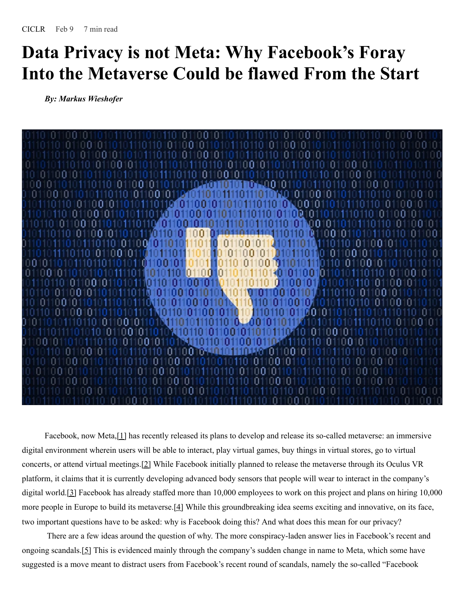## **Data Privacy is not Meta: Why Facebook's Foray Into the Metaverse Could be flawed From the Start**

*By: Markus Wieshofer*



Facebook, now Meta, [1] has recently released its plans to develop and release its so-called metaverse: an immersive digital environment wherein users will be able to interact, play virtual games, buy things in virtual stores, go to virtual concerts, or attend virtual meetings.[2] While Facebook initially planned to release the metaverse through its Oculus VR platform, it claims that it is currently developing advanced body sensors that people will wear to interact in the company's digital world.<sup>[2]</sup> Facebook has already staffed more than 10,000 employees to work on this project and plans on hiring 10,000 more people in Europe to build its metaverse.<sup>[4]</sup> While this groundbreaking idea seems exciting and innovative, on its face, two important questions have to be asked: why is Facebook doing this? And what does this mean for our privacy?

There are a few ideas around the question of why. The more conspiracy-laden answer lies in Facebook's recent and ongoing scandals.[5] This is evidenced mainly through the company's sudden change in name to Meta, which some have suggested is a move meant to distract users from Facebook's recent round of scandals, namely the so-called "Facebook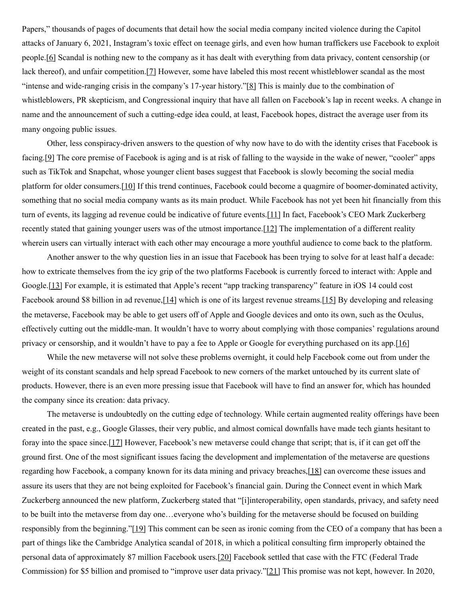Papers," thousands of pages of documents that detail how the social media company incited violence during the Capitol attacks of January 6, 2021, Instagram's toxic effect on teenage girls, and even how human traffickers use Facebook to exploit people.[6] Scandal is nothing new to the company as it has dealt with everything from data privacy, content censorship (or lack thereof), and unfair competition.[7] However, some have labeled this most recent whistleblower scandal as the most "intense and wide-ranging crisis in the company's 17-year history."[8] This is mainly due to the combination of whistleblowers, PR skepticism, and Congressional inquiry that have all fallen on Facebook's lap in recent weeks. A change in name and the announcement of such a cutting-edge idea could, at least, Facebook hopes, distract the average user from its many ongoing public issues.

Other, less conspiracy-driven answers to the question of why now have to do with the identity crises that Facebook is facing.[9] The core premise of Facebook is aging and is at risk of falling to the wayside in the wake of newer, "cooler" apps such as TikTok and Snapchat, whose younger client bases suggest that Facebook is slowly becoming the social media platform for older consumers.[10] If this trend continues, Facebook could become a quagmire of boomer-dominated activity, something that no social media company wants as its main product. While Facebook has not yet been hit financially from this turn of events, its lagging ad revenue could be indicative of future events.[11] In fact, Facebook's CEO Mark Zuckerberg recently stated that gaining younger users was of the utmost importance.[12] The implementation of a different reality wherein users can virtually interact with each other may encourage a more youthful audience to come back to the platform.

Another answer to the why question lies in an issue that Facebook has been trying to solve for at least half a decade: how to extricate themselves from the icy grip of the two platforms Facebook is currently forced to interact with: Apple and Google.[13] For example, it is estimated that Apple's recent "app tracking transparency" feature in iOS 14 could cost Facebook around \$8 billion in ad revenue, [14] which is one of its largest revenue streams. [15] By developing and releasing the metaverse, Facebook may be able to get users off of Apple and Google devices and onto its own, such as the Oculus, effectively cutting out the middle-man. It wouldn't have to worry about complying with those companies' regulations around privacy or censorship, and it wouldn't have to pay a fee to Apple or Google for everything purchased on its app.[16]

While the new metaverse will not solve these problems overnight, it could help Facebook come out from under the weight of its constant scandals and help spread Facebook to new corners of the market untouched by its current slate of products. However, there is an even more pressing issue that Facebook will have to find an answer for, which has hounded the company since its creation: data privacy.

The metaverse is undoubtedly on the cutting edge of technology. While certain augmented reality offerings have been created in the past, e.g., Google Glasses, their very public, and almost comical downfalls have made tech giants hesitant to foray into the space since.[17] However, Facebook's new metaverse could change that script; that is, if it can get off the ground first. One of the most significant issues facing the development and implementation of the metaverse are questions regarding how Facebook, a company known for its data mining and privacy breaches,[18] can overcome these issues and assure its users that they are not being exploited for Facebook's financial gain. During the Connect event in which Mark Zuckerberg announced the new platform, Zuckerberg stated that "[i]interoperability, open standards, privacy, and safety need to be built into the metaverse from day one…everyone who's building for the metaverse should be focused on building responsibly from the beginning."[19] This comment can be seen as ironic coming from the CEO of a company that has been a part of things like the Cambridge Analytica scandal of 2018, in which a political consulting firm improperly obtained the personal data of approximately 87 million Facebook users.[20] Facebook settled that case with the FTC (Federal Trade Commission) for \$5 billion and promised to "improve user data privacy."[21] This promise was not kept, however. In 2020,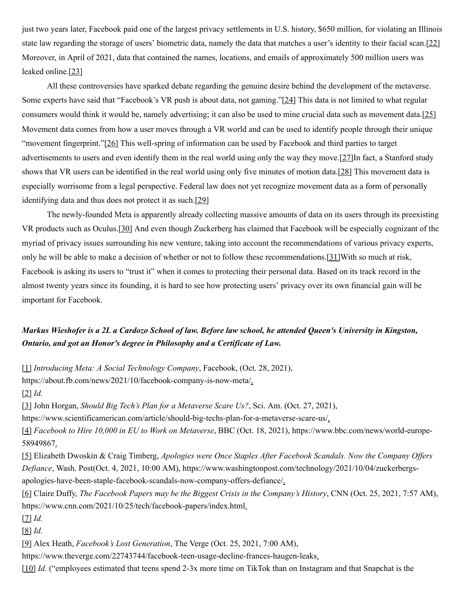just two years later, Facebook paid one of the largest privacy settlements in U.S. history, \$650 million, for violating an Illinois state law regarding the storage of users' biometric data, namely the data that matches a user's identity to their facial scan.[22] Moreover, in April of 2021, data that contained the names, locations, and emails of approximately 500 million users was leaked online.[23]

All these controversies have sparked debate regarding the genuine desire behind the development of the metaverse. Some experts have said that "Facebook's VR push is about data, not gaming."[24] This data is not limited to what regular consumers would think it would be, namely advertising; it can also be used to mine crucial data such as movement data.[25] Movement data comes from how a user moves through a VR world and can be used to identify people through their unique "movement fingerprint."[26] This well-spring of information can be used by Facebook and third parties to target advertisements to users and even identify them in the real world using only the way they move.  $[27]$ In fact, a Stanford study shows that VR users can be identified in the real world using only five minutes of motion data.[28] This movement data is especially worrisome from a legal perspective. Federal law does not yet recognize movement data as a form of personally identifying data and thus does not protect it as such.[29]

The newly-founded Meta is apparently already collecting massive amounts of data on its users through its preexisting VR products such as Oculus.[30] And even though Zuckerberg has claimed that Facebook will be especially cognizant of the myriad of privacy issues surrounding his new venture, taking into account the recommendations of various privacy experts, only he will be able to make a decision of whether or not to follow these recommendations. [31] With so much at risk, Facebook is asking its users to "trust it" when it comes to protecting their personal data. Based on its track record in the almost twenty years since its founding, it is hard to see how protecting users' privacy over its own financial gain will be important for Facebook.

## Markus Wieshofer is a 2L a Cardozo School of law. Before law school, he attended Queen's University in Kingston, *Ontario, and got an Honor's degree in Philosophy and a Certificate of Law.*

[1] *Introducing Meta: A Social Technology Company*, Facebook, (Oct. 28, 2021),

https://about.fb.com/news/2021/10/facebook-company-is-now-meta/.

[2] *Id.*

[3] John Horgan, *Should Big Tech's Plan for a Metaverse Scare Us?*, Sci. Am. (Oct. 27, 2021),

https://www.scientificamerican.com/article/should-big-techs-plan-for-a-metaverse-scare-us/.

[4] *Facebook to Hire 10,000 in EU to Work on Metaverse*, BBC (Oct. 18, 2021), https://www.bbc.com/news/world-europe-58949867.

[5] Elizabeth Dwoskin & Craig Timberg, *Apologies were Once Staples After Facebook Scandals. Now the Company Of ers Defiance*, Wash. Post(Oct. 4, 2021, 10:00 AM), https://www.washingtonpost.com/technology/2021/10/04/zuckerbergsapologies-have-been-staple-facebook-scandals-now-company-offers-defiance/.

[6] Claire Duffy, *The Facebook Papers may be the Biggest Crisis in the Company's History*, CNN (Oct. 25, 2021, 7:57 AM), https://www.cnn.com/2021/10/25/tech/facebook-papers/index.html

[7] *Id.*

[8] *Id.*

[9] Alex Heath, *Facebook's Lost Generation*, The Verge (Oct. 25, 2021, 7:00 AM),

https://www.theverge.com/22743744/facebook-teen-usage-decline-frances-haugen-leaks.

[10] *Id.* ("employees estimated that teens spend 2-3x more time on TikTok than on Instagram and that Snapchat is the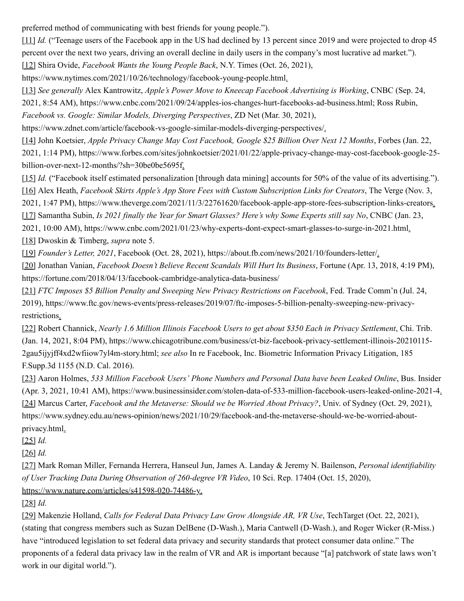preferred method of communicating with best friends for young people.").

[11] *Id.* ("Teenage users of the Facebook app in the US had declined by 13 percent since 2019 and were projected to drop 45 percent over the next two years, driving an overall decline in daily users in the company's most lucrative ad market.").

[12] Shira Ovide, *Facebook Wants the Young People Back*, N.Y. Times (Oct. 26, 2021),

https://www.nytimes.com/2021/10/26/technology/facebook-young-people.html.

[13] *See generally* Alex Kantrowitz, *Apple's Power Move to Kneecap Facebook Advertising is Working*, CNBC (Sep. 24, 2021, 8:54 AM), https://www.cnbc.com/2021/09/24/apples-ios-changes-hurt-facebooks-ad-business.html; Ross Rubin, *Facebook vs. Google: Similar Models, Diverging Perspectives*, ZD Net (Mar. 30, 2021),

https://www.zdnet.com/article/facebook-vs-google-similar-models-diverging-perspectives/.

[14] John Koetsier, *Apple Privacy Change May Cost Facebook, Google \$25 Billion Over Next 12 Months*, Forbes (Jan. 22, 2021, 1:14 PM), https://www.forbes.com/sites/johnkoetsier/2021/01/22/apple-privacy-change-may-cost-facebook-google-25 billion-over-next-12-months/?sh=30be0be5695f.

[15] *Id.* ("Facebook itself estimated personalization [through data mining] accounts for 50% of the value of its advertising."). [16] Alex Heath, *Facebook Skirts Apple's App Store Fees with Custom Subscription Links for Creators*, The Verge (Nov. 3,

2021, 1:47 PM), https://www.theverge.com/2021/11/3/22761620/facebook-apple-app-store-fees-subscription-links-creators.

[17] Samantha Subin, *Is 2021 finally the Year for Smart Glasses? Here's why Some Experts still say No*, CNBC (Jan. 23,

2021, 10:00 AM), https://www.cnbc.com/2021/01/23/why-experts-dont-expect-smart-glasses-to-surge-in-2021.html.

[18] Dwoskin & Timberg, *supra* note 5.

[19] *Founder's Letter, 2021*, Facebook (Oct. 28, 2021), https://about.fb.com/news/2021/10/founders-letter/.

[20] Jonathan Vanian, *Facebook Doesn't Believe Recent Scandals Will Hurt Its Business*, Fortune (Apr. 13, 2018, 4:19 PM), https://fortune.com/2018/04/13/facebook-cambridge-analytica-data-business/

[21] *FTC Imposes \$5 Billion Penalty and Sweeping New Privacy Restrictions on Facebook*, Fed. Trade Comm'n (Jul. 24, 2019), https://www.ftc.gov/news-events/press-releases/2019/07/ftc-imposes-5-billion-penalty-sweeping-new-privacyrestrictions.

[22] Robert Channick, *Nearly 1.6 Million Illinois Facebook Users to get about \$350 Each in Privacy Settlement*, Chi. Trib. (Jan. 14, 2021, 8:04 PM), https://www.chicagotribune.com/business/ct-biz-facebook-privacy-settlement-illinois-20210115- 2gau5ijyjff4xd2wfiiow7yl4m-story.html; *see also* In re Facebook, Inc. Biometric Information Privacy Litigation, 185 F.Supp.3d 1155 (N.D. Cal. 2016).

[23] Aaron Holmes, *533 Million Facebook Users' Phone Numbers and Personal Data have been Leaked Online*, Bus. Insider (Apr. 3, 2021, 10:41 AM), https://www.businessinsider.com/stolen-data-of-533-million-facebook-users-leaked-online-2021-4.

[24] Marcus Carter, *Facebook and the Metaverse: Should we be Worried About Privacy?*, Univ. of Sydney (Oct. 29, 2021), https://www.sydney.edu.au/news-opinion/news/2021/10/29/facebook-and-the-metaverse-should-we-be-worried-aboutprivacy.html.

[25] *Id.*

[26] *Id.*

[27] Mark Roman Miller, Fernanda Herrera, Hanseul Jun, James A. Landay & Jeremy N. Bailenson, *Personal identifiability of User Tracking Data During Observation of 260-degree VR Video*, 10 Sci. Rep. 17404 (Oct. 15, 2020), <https://www.nature.com/articles/s41598-020-74486-y>.

[28] *Id.*

[29] Makenzie Holland, *Calls for Federal Data Privacy Law Grow Alongside AR, VR Use*, TechTarget (Oct. 22, 2021), (stating that congress members such as Suzan DelBene (D-Wash.), Maria Cantwell (D-Wash.), and Roger Wicker (R-Miss.) have "introduced legislation to set federal data privacy and security standards that protect consumer data online." The proponents of a federal data privacy law in the realm of VR and AR is important because "[a] patchwork of state laws won't work in our digital world.").